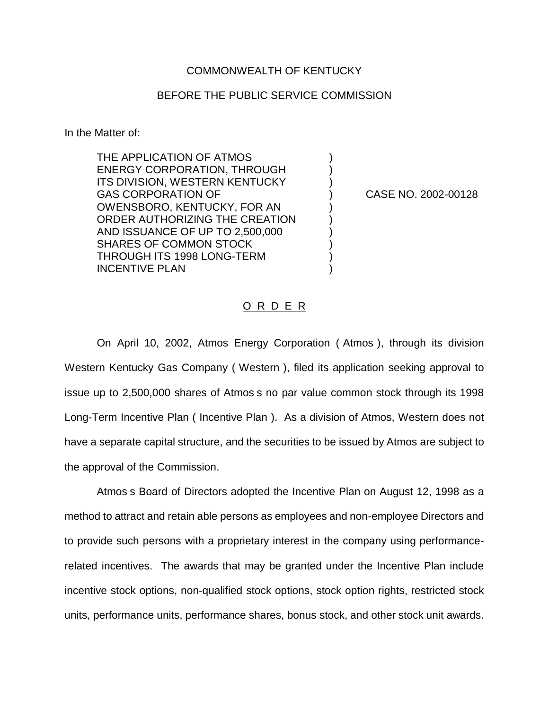## COMMONWEALTH OF KENTUCKY

## BEFORE THE PUBLIC SERVICE COMMISSION

) ) )

) ) ) ) ) )

In the Matter of:

THE APPLICATION OF ATMOS ENERGY CORPORATION, THROUGH ITS DIVISION, WESTERN KENTUCKY GAS CORPORATION OF OWENSBORO, KENTUCKY, FOR AN ORDER AUTHORIZING THE CREATION AND ISSUANCE OF UP TO 2,500,000 SHARES OF COMMON STOCK THROUGH ITS 1998 LONG-TERM INCENTIVE PLAN

) CASE NO. 2002-00128

## O R D E R

On April 10, 2002, Atmos Energy Corporation ( Atmos ), through its division Western Kentucky Gas Company ( Western ), filed its application seeking approval to issue up to 2,500,000 shares of Atmos s no par value common stock through its 1998 Long-Term Incentive Plan ( Incentive Plan ). As a division of Atmos, Western does not have a separate capital structure, and the securities to be issued by Atmos are subject to the approval of the Commission.

Atmos s Board of Directors adopted the Incentive Plan on August 12, 1998 as a method to attract and retain able persons as employees and non-employee Directors and to provide such persons with a proprietary interest in the company using performancerelated incentives. The awards that may be granted under the Incentive Plan include incentive stock options, non-qualified stock options, stock option rights, restricted stock units, performance units, performance shares, bonus stock, and other stock unit awards.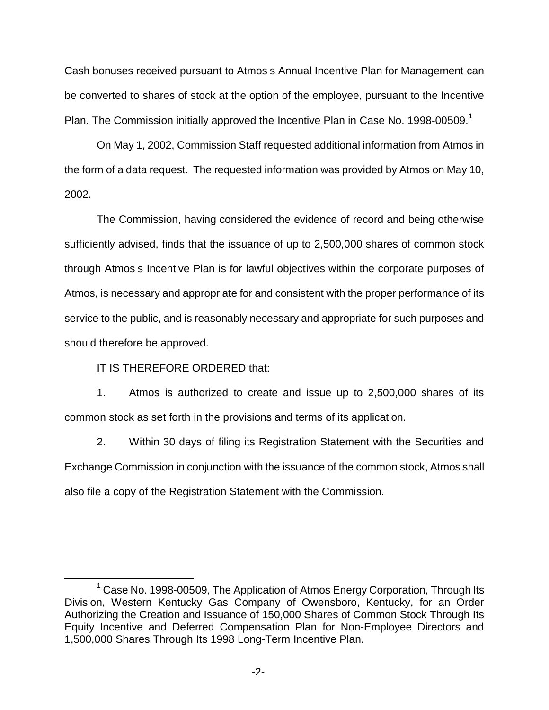Cash bonuses received pursuant to Atmos s Annual Incentive Plan for Management can be converted to shares of stock at the option of the employee, pursuant to the Incentive Plan. The Commission initially approved the Incentive Plan in Case No. 1998-00509. $^1$ 

On May 1, 2002, Commission Staff requested additional information from Atmos in the form of a data request. The requested information was provided by Atmos on May 10, 2002.

The Commission, having considered the evidence of record and being otherwise sufficiently advised, finds that the issuance of up to 2,500,000 shares of common stock through Atmos s Incentive Plan is for lawful objectives within the corporate purposes of Atmos, is necessary and appropriate for and consistent with the proper performance of its service to the public, and is reasonably necessary and appropriate for such purposes and should therefore be approved.

IT IS THEREFORE ORDERED that:

1. Atmos is authorized to create and issue up to 2,500,000 shares of its common stock as set forth in the provisions and terms of its application.

2. Within 30 days of filing its Registration Statement with the Securities and Exchange Commission in conjunction with the issuance of the common stock, Atmos shall also file a copy of the Registration Statement with the Commission.

 $1$  Case No. 1998-00509, The Application of Atmos Energy Corporation, Through Its Division, Western Kentucky Gas Company of Owensboro, Kentucky, for an Order Authorizing the Creation and Issuance of 150,000 Shares of Common Stock Through Its Equity Incentive and Deferred Compensation Plan for Non-Employee Directors and 1,500,000 Shares Through Its 1998 Long-Term Incentive Plan.